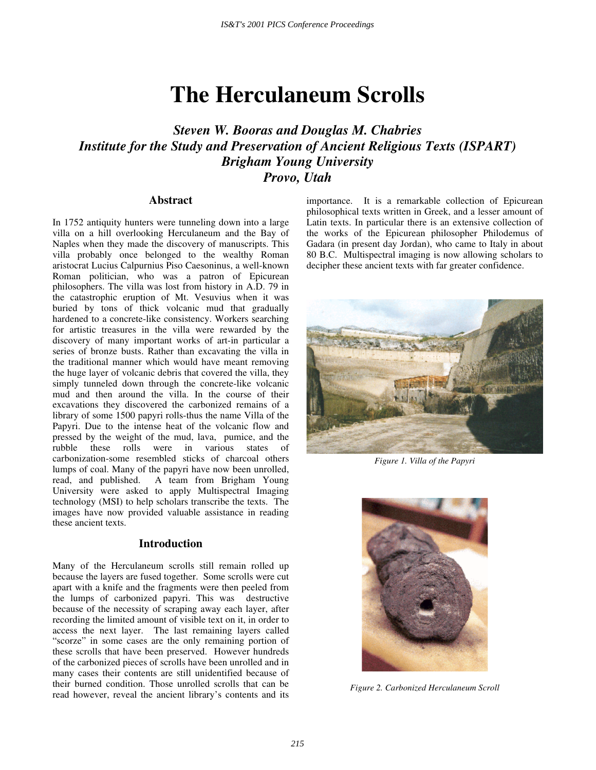# **The Herculaneum Scrolls**

## *Steven W. Booras and Douglas M. Chabries Institute for the Study and Preservation of Ancient Religious Texts (ISPART) Brigham Young University Provo, Utah*

## **Abstract**

In 1752 antiquity hunters were tunneling down into a large villa on a hill overlooking Herculaneum and the Bay of Naples when they made the discovery of manuscripts. This villa probably once belonged to the wealthy Roman aristocrat Lucius Calpurnius Piso Caesoninus, a well-known Roman politician, who was a patron of Epicurean philosophers. The villa was lost from history in A.D. 79 in the catastrophic eruption of Mt. Vesuvius when it was buried by tons of thick volcanic mud that gradually hardened to a concrete-like consistency. Workers searching for artistic treasures in the villa were rewarded by the discovery of many important works of art-in particular a series of bronze busts. Rather than excavating the villa in the traditional manner which would have meant removing the huge layer of volcanic debris that covered the villa, they simply tunneled down through the concrete-like volcanic mud and then around the villa. In the course of their excavations they discovered the carbonized remains of a library of some 1500 papyri rolls-thus the name Villa of the Papyri. Due to the intense heat of the volcanic flow and pressed by the weight of the mud, lava, pumice, and the rubble these rolls were in various states of carbonization-some resembled sticks of charcoal others lumps of coal. Many of the papyri have now been unrolled, read, and published. A team from Brigham Young A team from Brigham Young University were asked to apply Multispectral Imaging technology (MSI) to help scholars transcribe the texts. The images have now provided valuable assistance in reading these ancient texts.

## **Introduction**

Many of the Herculaneum scrolls still remain rolled up because the layers are fused together. Some scrolls were cut apart with a knife and the fragments were then peeled from the lumps of carbonized papyri. This was destructive because of the necessity of scraping away each layer, after recording the limited amount of visible text on it, in order to access the next layer. The last remaining layers called "scorze" in some cases are the only remaining portion of these scrolls that have been preserved. However hundreds of the carbonized pieces of scrolls have been unrolled and in many cases their contents are still unidentified because of their burned condition. Those unrolled scrolls that can be read however, reveal the ancient library's contents and its

importance. It is a remarkable collection of Epicurean philosophical texts written in Greek, and a lesser amount of Latin texts. In particular there is an extensive collection of the works of the Epicurean philosopher Philodemus of Gadara (in present day Jordan), who came to Italy in about 80 B.C. Multispectral imaging is now allowing scholars to decipher these ancient texts with far greater confidence.



*Figure 1. Villa of the Papyri*



*Figure 2. Carbonized Herculaneum Scroll*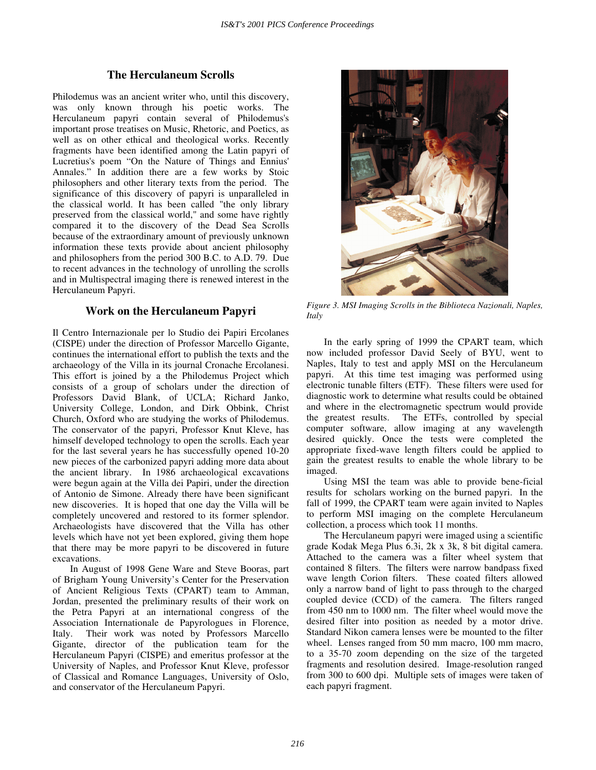## **The Herculaneum Scrolls**

Philodemus was an ancient writer who, until this discovery, was only known through his poetic works. The Herculaneum papyri contain several of Philodemus's important prose treatises on Music, Rhetoric, and Poetics, as well as on other ethical and theological works. Recently fragments have been identified among the Latin papyri of Lucretius's poem "On the Nature of Things and Ennius' Annales." In addition there are a few works by Stoic philosophers and other literary texts from the period. The significance of this discovery of papyri is unparalleled in the classical world. It has been called "the only library preserved from the classical world," and some have rightly compared it to the discovery of the Dead Sea Scrolls because of the extraordinary amount of previously unknown information these texts provide about ancient philosophy and philosophers from the period 300 B.C. to A.D. 79. Due to recent advances in the technology of unrolling the scrolls and in Multispectral imaging there is renewed interest in the Herculaneum Papyri.

## **Work on the Herculaneum Papyri**

Il Centro Internazionale per lo Studio dei Papiri Ercolanes (CISPE) under the direction of Professor Marcello Gigante, continues the international effort to publish the texts and the archaeology of the Villa in its journal Cronache Ercolanesi. This effort is joined by a the Philodemus Project which consists of a group of scholars under the direction of Professors David Blank, of UCLA; Richard Janko, University College, London, and Dirk Obbink, Christ Church, Oxford who are studying the works of Philodemus. The conservator of the papyri, Professor Knut Kleve, has himself developed technology to open the scrolls. Each year for the last several years he has successfully opened 10-20 new pieces of the carbonized papyri adding more data about the ancient library. In 1986 archaeological excavations were begun again at the Villa dei Papiri, under the direction of Antonio de Simone. Already there have been significant new discoveries. It is hoped that one day the Villa will be completely uncovered and restored to its former splendor. Archaeologists have discovered that the Villa has other levels which have not yet been explored, giving them hope that there may be more papyri to be discovered in future excavations.

In August of 1998 Gene Ware and Steve Booras, part of Brigham Young University's Center for the Preservation of Ancient Religious Texts (CPART) team to Amman, Jordan, presented the preliminary results of their work on the Petra Papyri at an international congress of the Association Internationale de Papyrologues in Florence, Italy. Their work was noted by Professors Marcello Gigante, director of the publication team for the Herculaneum Papyri (CISPE) and emeritus professor at the University of Naples, and Professor Knut Kleve, professor of Classical and Romance Languages, University of Oslo, and conservator of the Herculaneum Papyri.



*Figure 3. MSI Imaging Scrolls in the Biblioteca Nazionali, Naples, Italy*

In the early spring of 1999 the CPART team, which now included professor David Seely of BYU, went to Naples, Italy to test and apply MSI on the Herculaneum papyri. At this time test imaging was performed using electronic tunable filters (ETF). These filters were used for diagnostic work to determine what results could be obtained and where in the electromagnetic spectrum would provide the greatest results. The ETFs, controlled by special computer software, allow imaging at any wavelength desired quickly. Once the tests were completed the appropriate fixed-wave length filters could be applied to gain the greatest results to enable the whole library to be imaged.

Using MSI the team was able to provide bene-ficial results for scholars working on the burned papyri. In the fall of 1999, the CPART team were again invited to Naples to perform MSI imaging on the complete Herculaneum collection, a process which took 11 months.

The Herculaneum papyri were imaged using a scientific grade Kodak Mega Plus 6.3i, 2k x 3k, 8 bit digital camera. Attached to the camera was a filter wheel system that contained 8 filters. The filters were narrow bandpass fixed wave length Corion filters. These coated filters allowed only a narrow band of light to pass through to the charged coupled device (CCD) of the camera. The filters ranged from 450 nm to 1000 nm. The filter wheel would move the desired filter into position as needed by a motor drive. Standard Nikon camera lenses were be mounted to the filter wheel. Lenses ranged from 50 mm macro, 100 mm macro, to a 35-70 zoom depending on the size of the targeted fragments and resolution desired. Image-resolution ranged from 300 to 600 dpi. Multiple sets of images were taken of each papyri fragment.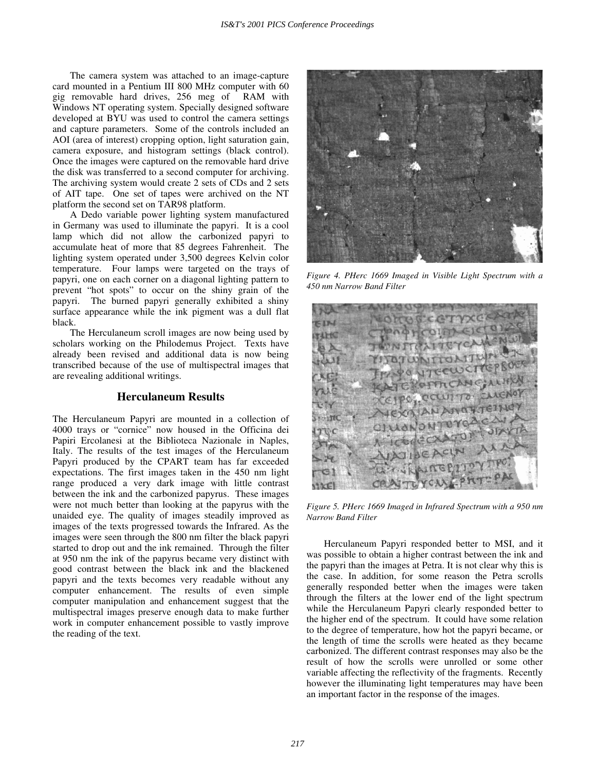The camera system was attached to an image-capture card mounted in a Pentium III 800 MHz computer with 60 gig removable hard drives, 256 meg of RAM with Windows NT operating system. Specially designed software developed at BYU was used to control the camera settings and capture parameters. Some of the controls included an AOI (area of interest) cropping option, light saturation gain, camera exposure, and histogram settings (black control). Once the images were captured on the removable hard drive the disk was transferred to a second computer for archiving. The archiving system would create 2 sets of CDs and 2 sets of AIT tape. One set of tapes were archived on the NT platform the second set on TAR98 platform.

A Dedo variable power lighting system manufactured in Germany was used to illuminate the papyri. It is a cool lamp which did not allow the carbonized papyri to accumulate heat of more that 85 degrees Fahrenheit. The lighting system operated under 3,500 degrees Kelvin color temperature. Four lamps were targeted on the trays of papyri, one on each corner on a diagonal lighting pattern to prevent "hot spots" to occur on the shiny grain of the papyri. The burned papyri generally exhibited a shiny surface appearance while the ink pigment was a dull flat black.

The Herculaneum scroll images are now being used by scholars working on the Philodemus Project. Texts have already been revised and additional data is now being transcribed because of the use of multispectral images that are revealing additional writings.

## **Herculaneum Results**

The Herculaneum Papyri are mounted in a collection of 4000 trays or "cornice" now housed in the Officina dei Papiri Ercolanesi at the Biblioteca Nazionale in Naples, Italy. The results of the test images of the Herculaneum Papyri produced by the CPART team has far exceeded expectations. The first images taken in the 450 nm light range produced a very dark image with little contrast between the ink and the carbonized papyrus. These images were not much better than looking at the papyrus with the unaided eye. The quality of images steadily improved as images of the texts progressed towards the Infrared. As the images were seen through the 800 nm filter the black papyri started to drop out and the ink remained. Through the filter at 950 nm the ink of the papyrus became very distinct with good contrast between the black ink and the blackened papyri and the texts becomes very readable without any computer enhancement. The results of even simple computer manipulation and enhancement suggest that the multispectral images preserve enough data to make further work in computer enhancement possible to vastly improve the reading of the text.



*Figure 4. PHerc 1669 Imaged in Visible Light Spectrum with a 450 nm Narrow Band Filter*



*Figure 5. PHerc 1669 Imaged in Infrared Spectrum with a 950 nm Narrow Band Filter*

Herculaneum Papyri responded better to MSI, and it was possible to obtain a higher contrast between the ink and the papyri than the images at Petra. It is not clear why this is the case. In addition, for some reason the Petra scrolls generally responded better when the images were taken through the filters at the lower end of the light spectrum while the Herculaneum Papyri clearly responded better to the higher end of the spectrum. It could have some relation to the degree of temperature, how hot the papyri became, or the length of time the scrolls were heated as they became carbonized. The different contrast responses may also be the result of how the scrolls were unrolled or some other variable affecting the reflectivity of the fragments. Recently however the illuminating light temperatures may have been an important factor in the response of the images.